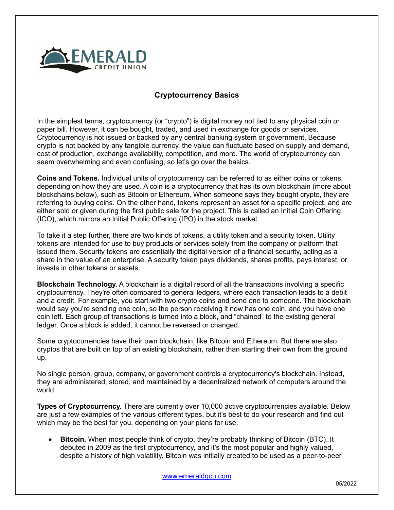

## **Cryptocurrency Basics**

In the simplest terms, cryptocurrency (or "crypto") is digital money not tied to any physical coin or paper bill. However, it can be bought, traded, and used in exchange for goods or services. Cryptocurrency is not issued or backed by any central banking system or government. Because crypto is not backed by any tangible currency, the value can fluctuate based on supply and demand, cost of production, exchange availability, competition, and more. The world of cryptocurrency can seem overwhelming and even confusing, so let's go over the basics.

**Coins and Tokens.** Individual units of cryptocurrency can be referred to as either coins or tokens, depending on how they are used. A coin is a cryptocurrency that has its own blockchain (more about blockchains below), such as Bitcoin or Ethereum. When someone says they bought crypto, they are referring to buying coins. On the other hand, tokens represent an asset for a specific project, and are either sold or given during the first public sale for the project. This is called an Initial Coin Offering (ICO), which mirrors an Initial Public Offering (IPO) in the stock market.

To take it a step further, there are two kinds of tokens, a utility token and a security token. Utility tokens are intended for use to buy products or services solely from the company or platform that issued them. Security tokens are essentially the digital version of a financial security, acting as a share in the value of an enterprise. A security token pays dividends, shares profits, pays interest, or invests in other tokens or assets.

**Blockchain Technology.** A blockchain is a digital record of all the transactions involving a specific cryptocurrency. They're often compared to general ledgers, where each transaction leads to a debit and a credit. For example, you start with two crypto coins and send one to someone. The blockchain would say you're sending one coin, so the person receiving it now has one coin, and you have one coin left. Each group of transactions is turned into a block, and "chained" to the existing general ledger. Once a block is added, it cannot be reversed or changed.

Some cryptocurrencies have their own blockchain, like Bitcoin and Ethereum. But there are also cryptos that are built on top of an existing blockchain, rather than starting their own from the ground up.

No single person, group, company, or government controls a cryptocurrency's blockchain. Instead, they are administered, stored, and maintained by a decentralized network of computers around the world.

**Types of Cryptocurrency.** There are currently over 10,000 active cryptocurrencies available. Below are just a few examples of the various different types, but it's best to do your research and find out which may be the best for you, depending on your plans for use.

• **Bitcoin.** When most people think of crypto, they're probably thinking of Bitcoin (BTC). It debuted in 2009 as the first cryptocurrency, and it's the most popular and highly valued, despite a history of high volatility. Bitcoin was initially created to be used as a peer-to-peer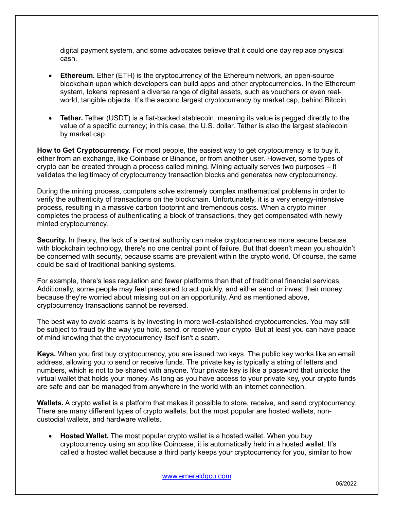digital payment system, and some advocates believe that it could one day replace physical cash.

- **Ethereum.** Ether (ETH) is the cryptocurrency of the Ethereum network, an open-source blockchain upon which developers can build apps and other cryptocurrencies. In the Ethereum system, tokens represent a diverse range of digital assets, such as vouchers or even realworld, tangible objects. It's the second largest cryptocurrency by market cap, behind Bitcoin.
- **Tether.** Tether (USDT) is a fiat-backed stablecoin, meaning its value is pegged directly to the value of a specific currency; in this case, the U.S. dollar. Tether is also the largest stablecoin by market cap.

**How to Get Cryptocurrency.** For most people, the easiest way to get cryptocurrency is to buy it, either from an exchange, like Coinbase or Binance, or from another user. However, some types of crypto can be created through a process called mining. Mining actually serves two purposes – It validates the legitimacy of cryptocurrency transaction blocks and generates new cryptocurrency.

During the mining process, computers solve extremely complex mathematical problems in order to verify the authenticity of transactions on the blockchain. Unfortunately, it is a very energy-intensive process, resulting in a massive carbon footprint and tremendous costs. When a crypto miner completes the process of authenticating a block of transactions, they get compensated with newly minted cryptocurrency.

**Security.** In theory, the lack of a central authority can make cryptocurrencies more secure because with blockchain technology, there's no one central point of failure. But that doesn't mean you shouldn't be concerned with security, because scams are prevalent within the crypto world. Of course, the same could be said of traditional banking systems.

For example, there's less regulation and fewer platforms than that of traditional financial services. Additionally, some people may feel pressured to act quickly, and either send or invest their money because they're worried about missing out on an opportunity. And as mentioned above, cryptocurrency transactions cannot be reversed.

The best way to avoid scams is by investing in more well-established cryptocurrencies. You may still be subject to fraud by the way you hold, send, or receive your crypto. But at least you can have peace of mind knowing that the cryptocurrency itself isn't a scam.

**Keys.** When you first buy cryptocurrency, you are issued two keys. The public key works like an email address, allowing you to send or receive funds. The private key is typically a string of letters and numbers, which is not to be shared with anyone. Your private key is like a password that unlocks the virtual wallet that holds your money. As long as you have access to your private key, your crypto funds are safe and can be managed from anywhere in the world with an internet connection.

**Wallets.** A crypto wallet is a platform that makes it possible to store, receive, and send cryptocurrency. There are many different types of crypto wallets, but the most popular are hosted wallets, noncustodial wallets, and hardware wallets.

• **Hosted Wallet.** The most popular crypto wallet is a hosted wallet. When you buy cryptocurrency using an app like Coinbase, it is automatically held in a hosted wallet. It's called a hosted wallet because a third party keeps your cryptocurrency for you, similar to how